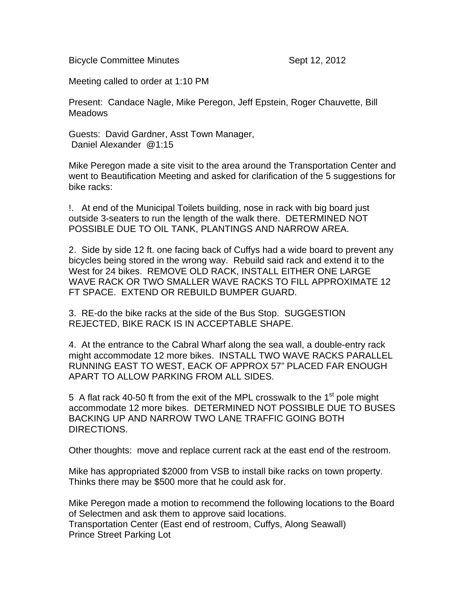Bicycle Committee Minutes **Sept 12, 2012** 

Meeting called to order at 1:10 PM

Present: Candace Nagle, Mike Peregon, Jeff Epstein, Roger Chauvette, Bill **Meadows** 

Guests: David Gardner, Asst Town Manager, Daniel Alexander @1:15

Mike Peregon made a site visit to the area around the Transportation Center and went to Beautification Meeting and asked for clarification of the 5 suggestions for bike racks:

!. At end of the Municipal Toilets building, nose in rack with big board just outside 3-seaters to run the length of the walk there. DETERMINED NOT POSSIBLE DUE TO OIL TANK, PLANTINGS AND NARROW AREA.

2. Side by side 12 ft. one facing back of Cuffys had a wide board to prevent any bicycles being stored in the wrong way. Rebuild said rack and extend it to the West for 24 bikes. REMOVE OLD RACK, INSTALL EITHER ONE LARGE WAVE RACK OR TWO SMALLER WAVE RACKS TO FILL APPROXIMATE 12 FT SPACE. EXTEND OR REBUILD BUMPER GUARD.

3. RE-do the bike racks at the side of the Bus Stop. SUGGESTION REJECTED, BIKE RACK IS IN ACCEPTABLE SHAPE.

4. At the entrance to the Cabral Wharf along the sea wall, a double-entry rack might accommodate 12 more bikes. INSTALL TWO WAVE RACKS PARALLEL RUNNING EAST TO WEST, EACK OF APPROX 57" PLACED FAR ENOUGH APART TO ALLOW PARKING FROM ALL SIDES.

5 A flat rack 40-50 ft from the exit of the MPL crosswalk to the  $1<sup>st</sup>$  pole might accommodate 12 more bikes. DETERMINED NOT POSSIBLE DUE TO BUSES BACKING UP AND NARROW TWO LANE TRAFFIC GOING BOTH DIRECTIONS.

Other thoughts: move and replace current rack at the east end of the restroom.

Mike has appropriated \$2000 from VSB to install bike racks on town property. Thinks there may be \$500 more that he could ask for.

Mike Peregon made a motion to recommend the following locations to the Board of Selectmen and ask them to approve said locations. Transportation Center (East end of restroom, Cuffys, Along Seawall) Prince Street Parking Lot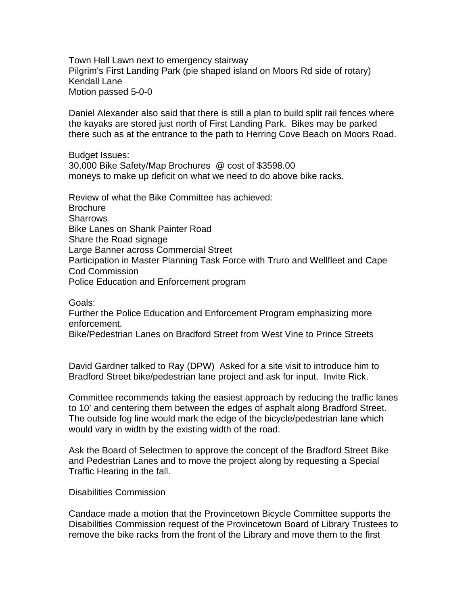Town Hall Lawn next to emergency stairway Pilgrim's First Landing Park (pie shaped island on Moors Rd side of rotary) Kendall Lane Motion passed 5-0-0

Daniel Alexander also said that there is still a plan to build split rail fences where the kayaks are stored just north of First Landing Park. Bikes may be parked there such as at the entrance to the path to Herring Cove Beach on Moors Road.

Budget Issues:

30,000 Bike Safety/Map Brochures @ cost of \$3598.00 moneys to make up deficit on what we need to do above bike racks.

Review of what the Bike Committee has achieved: **Brochure Sharrows** Bike Lanes on Shank Painter Road Share the Road signage Large Banner across Commercial Street Participation in Master Planning Task Force with Truro and Wellfleet and Cape Cod Commission Police Education and Enforcement program

Goals:

Further the Police Education and Enforcement Program emphasizing more enforcement.

Bike/Pedestrian Lanes on Bradford Street from West Vine to Prince Streets

David Gardner talked to Ray (DPW) Asked for a site visit to introduce him to Bradford Street bike/pedestrian lane project and ask for input. Invite Rick.

Committee recommends taking the easiest approach by reducing the traffic lanes to 10' and centering them between the edges of asphalt along Bradford Street. The outside fog line would mark the edge of the bicycle/pedestrian lane which would vary in width by the existing width of the road.

Ask the Board of Selectmen to approve the concept of the Bradford Street Bike and Pedestrian Lanes and to move the project along by requesting a Special Traffic Hearing in the fall.

Disabilities Commission

Candace made a motion that the Provincetown Bicycle Committee supports the Disabilities Commission request of the Provincetown Board of Library Trustees to remove the bike racks from the front of the Library and move them to the first